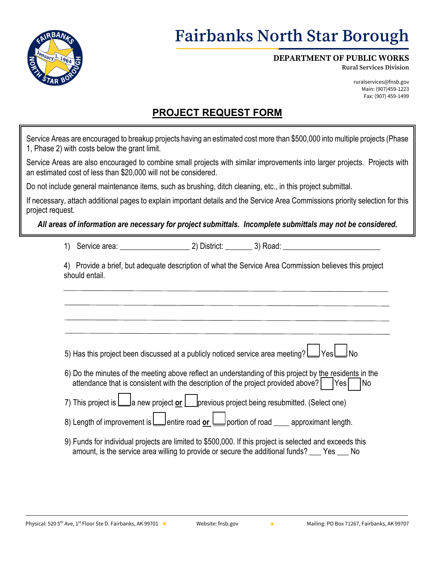

# **Fairbanks North Star Borough**

#### **DEPARTMENT OF PUBLIC WORKS**

**Rural Services Division**

ruralservices@fnsb.gov Main: (907)459-1223 Fax: (907) 459-1499

### **PROJECT REQUEST FORM**

| 1, Phase 2) with costs below the grant limit. | Service Areas are encouraged to breakup projects having an estimated cost more than \$500,000 into multiple projects (Phase                                                                                                                                                                |            |
|-----------------------------------------------|--------------------------------------------------------------------------------------------------------------------------------------------------------------------------------------------------------------------------------------------------------------------------------------------|------------|
|                                               | Service Areas are also encouraged to combine small projects with similar improvements into larger projects. Projects with<br>an estimated cost of less than \$20,000 will not be considered.                                                                                               |            |
|                                               | Do not include general maintenance items, such as brushing, ditch cleaning, etc., in this project submittal.                                                                                                                                                                               |            |
| project request.                              | If necessary, attach additional pages to explain important details and the Service Area Commissions priority selection for this                                                                                                                                                            |            |
|                                               | All areas of information are necessary for project submittals. Incomplete submittals may not be considered.                                                                                                                                                                                |            |
| 1)                                            |                                                                                                                                                                                                                                                                                            |            |
| should entail.                                | 4) Provide a brief, but adequate description of what the Service Area Commission believes this project                                                                                                                                                                                     |            |
|                                               | 5) Has this project been discussed at a publicly noticed service area meeting? LU YesLU No<br>6) Do the minutes of the meeting above reflect an understanding of this project by the residents in the<br>attendance that is consistent with the description of the project provided above? | No<br> Yes |
|                                               | 7) This project is <u>L</u> a new project or Last previous project being resubmitted. (Select one)<br>8) Length of improvement is $\Box$ entire road or $\Box$ portion of road $\Box$ approximant length.                                                                                  |            |
|                                               | 9) Funds for individual projects are limited to \$500,000. If this project is selected and exceeds this<br>amount, is the service area willing to provide or secure the additional funds? ___ Yes ___ No                                                                                   |            |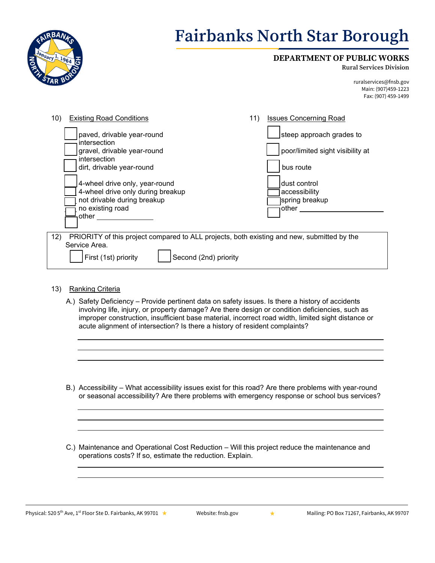

# **Fairbanks North Star Borough**

#### **DEPARTMENT OF PUBLIC WORKS**

**Rural Services Division**

ruralservices@fnsb.gov Main: (907)459-1223 Fax: (907) 459-1499

| <b>Existing Road Conditions</b><br>10)                                                                                                                                                                                                                    | 11) | <b>Issues Concerning Road</b>                                                                                                          |
|-----------------------------------------------------------------------------------------------------------------------------------------------------------------------------------------------------------------------------------------------------------|-----|----------------------------------------------------------------------------------------------------------------------------------------|
| paved, drivable year-round<br>intersection<br>gravel, drivable year-round<br>intersection<br>dirt, drivable year-round<br>4-wheel drive only, year-round<br>4-wheel drive only during breakup<br>not drivable during breakup<br>no existing road<br>other |     | steep approach grades to<br>poor/limited sight visibility at<br>bus route<br>ldust control<br>accessibility<br>spring breakup<br>other |
| 12)<br>PRIORITY of this project compared to ALL projects, both existing and new, submitted by the<br>Service Area.<br>First (1st) priority<br>Second (2nd) priority                                                                                       |     |                                                                                                                                        |

- 13) Ranking Criteria
	- A.) Safety Deficiency Provide pertinent data on safety issues. Is there a history of accidents involving life, injury, or property damage? Are there design or condition deficiencies, such as improper construction, insufficient base material, incorrect road width, limited sight distance or acute alignment of intersection? Is there a history of resident complaints?
	- B.) Accessibility What accessibility issues exist for this road? Are there problems with year-round or seasonal accessibility? Are there problems with emergency response or school bus services?
	- C.) Maintenance and Operational Cost Reduction Will this project reduce the maintenance and operations costs? If so, estimate the reduction. Explain.